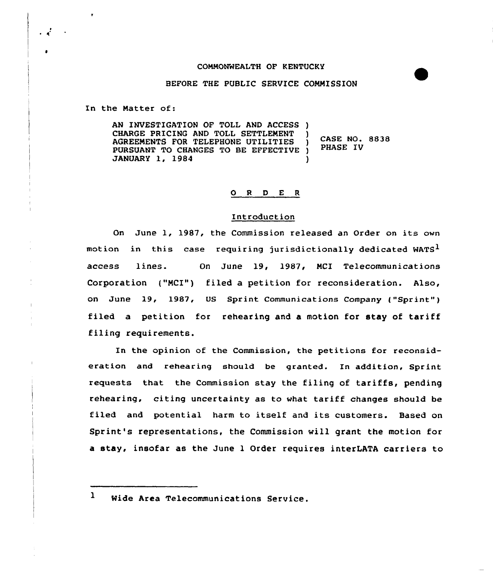## COMMONWEALTH OF KENTUCKY

## BEFORE THE PUBLIC SERVICE COMMISSION

In the Matter of:

AN INVESTIGATION OF TOLL AND ACCESS ) CHARGE PRICING AND TOLL SETTLEMENT )<br>AGREEMENTS FOR TELEPHONE UTILITIES ) AGREEMENTS FOR TELEPHONE UTILITIES PURSUANT TO CHANGES TO BE EFFECTIVE )<br>JANUARY 1, 1984 JANUARY 1, 1984 ) CASE NO. 8838 PHASE IV

## 0 <sup>R</sup> <sup>D</sup> E <sup>R</sup>

## Introduction

On June 1, 1987, the Commission released an Order on its own motion in this case requiring jurisdictionally dedicated WATS<sup>1</sup> access lines. On June 19, 1987, MCI Telecommunications Corporation {"MCI") filed a petition for reconsideration. Also, on June 19, 1987, US Sprint Communications Company ("Sprint" ) filed a petition for rehearing and a motion for stay of tariff filing requirements.

In the opinion of the Commission, the petitions for reconsideration and rehearing should be granted. In addition, Sprint requests that the Commission stay the filing of tariffs, pending rehearing, citing uncertainty as to vhat tariff changes should be filed and potential harm to itself and its customers. Based on Sprint's representations, the Commission vill grant the motion for a stay, insofar as the June 1 Order requires interLATA carriers to

 $\mathbf{1}$ Mide Area Telecommunications Service.